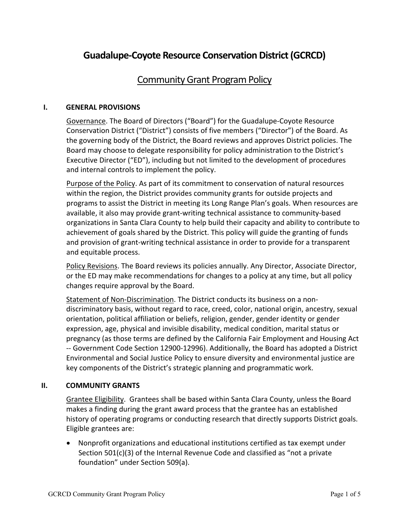# **Guadalupe-Coyote Resource Conservation District (GCRCD)**

## **Community Grant Program Policy**

#### **I. GENERAL PROVISIONS**

Governance. The Board of Directors ("Board") for the Guadalupe-Coyote Resource Conservation District ("District") consists of five members ("Director") of the Board. As the governing body of the District, the Board reviews and approves District policies. The Board may choose to delegate responsibility for policy administration to the District's Executive Director ("ED"), including but not limited to the development of procedures and internal controls to implement the policy.

Purpose of the Policy. As part of its commitment to conservation of natural resources within the region, the District provides community grants for outside projects and programs to assist the District in meeting its Long Range Plan's goals. When resources are available, it also may provide grant-writing technical assistance to community-based organizations in Santa Clara County to help build their capacity and ability to contribute to achievement of goals shared by the District. This policy will guide the granting of funds and provision of grant-writing technical assistance in order to provide for a transparent and equitable process.

Policy Revisions. The Board reviews its policies annually. Any Director, Associate Director, or the ED may make recommendations for changes to a policy at any time, but all policy changes require approval by the Board.

Statement of Non-Discrimination. The District conducts its business on a nondiscriminatory basis, without regard to race, creed, color, national origin, ancestry, sexual orientation, political affiliation or beliefs, religion, gender, gender identity or gender expression, age, physical and invisible disability, medical condition, marital status or pregnancy (as those terms are defined by the California Fair Employment and Housing Act -- Government Code Section 12900-12996). Additionally, the Board has adopted a District Environmental and Social Justice Policy to ensure diversity and environmental justice are key components of the District's strategic planning and programmatic work.

### **II. COMMUNITY GRANTS**

Grantee Eligibility. Grantees shall be based within Santa Clara County, unless the Board makes a finding during the grant award process that the grantee has an established history of operating programs or conducting research that directly supports District goals. Eligible grantees are:

• Nonprofit organizations and educational institutions certified as tax exempt under Section 501(c)(3) of the Internal Revenue Code and classified as "not a private foundation" under Section 509(a).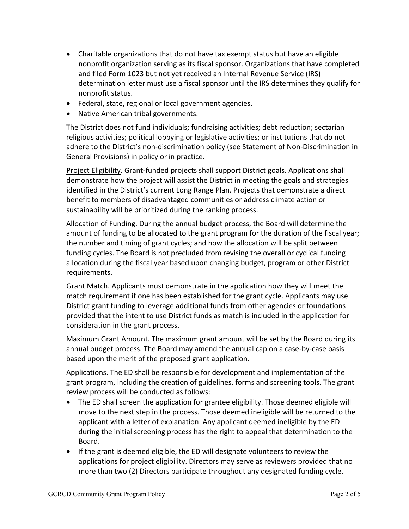- Charitable organizations that do not have tax exempt status but have an eligible nonprofit organization serving as its fiscal sponsor. Organizations that have completed and filed Form 1023 but not yet received an Internal Revenue Service (IRS) determination letter must use a fiscal sponsor until the IRS determines they qualify for nonprofit status.
- Federal, state, regional or local government agencies.
- Native American tribal governments.

The District does not fund individuals; fundraising activities; debt reduction; sectarian religious activities; political lobbying or legislative activities; or institutions that do not adhere to the District's non-discrimination policy (see Statement of Non-Discrimination in General Provisions) in policy or in practice.

Project Eligibility. Grant-funded projects shall support District goals. Applications shall demonstrate how the project will assist the District in meeting the goals and strategies identified in the District's current Long Range Plan. Projects that demonstrate a direct benefit to members of disadvantaged communities or address climate action or sustainability will be prioritized during the ranking process.

Allocation of Funding. During the annual budget process, the Board will determine the amount of funding to be allocated to the grant program for the duration of the fiscal year; the number and timing of grant cycles; and how the allocation will be split between funding cycles. The Board is not precluded from revising the overall or cyclical funding allocation during the fiscal year based upon changing budget, program or other District requirements.

Grant Match. Applicants must demonstrate in the application how they will meet the match requirement if one has been established for the grant cycle. Applicants may use District grant funding to leverage additional funds from other agencies or foundations provided that the intent to use District funds as match is included in the application for consideration in the grant process.

Maximum Grant Amount. The maximum grant amount will be set by the Board during its annual budget process. The Board may amend the annual cap on a case-by-case basis based upon the merit of the proposed grant application.

Applications. The ED shall be responsible for development and implementation of the grant program, including the creation of guidelines, forms and screening tools. The grant review process will be conducted as follows:

- The ED shall screen the application for grantee eligibility. Those deemed eligible will move to the next step in the process. Those deemed ineligible will be returned to the applicant with a letter of explanation. Any applicant deemed ineligible by the ED during the initial screening process has the right to appeal that determination to the Board.
- If the grant is deemed eligible, the ED will designate volunteers to review the applications for project eligibility. Directors may serve as reviewers provided that no more than two (2) Directors participate throughout any designated funding cycle.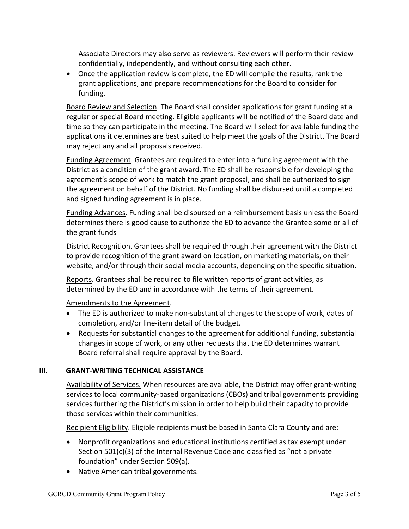Associate Directors may also serve as reviewers. Reviewers will perform their review confidentially, independently, and without consulting each other.

• Once the application review is complete, the ED will compile the results, rank the grant applications, and prepare recommendations for the Board to consider for funding.

Board Review and Selection. The Board shall consider applications for grant funding at a regular or special Board meeting. Eligible applicants will be notified of the Board date and time so they can participate in the meeting. The Board will select for available funding the applications it determines are best suited to help meet the goals of the District. The Board may reject any and all proposals received.

Funding Agreement. Grantees are required to enter into a funding agreement with the District as a condition of the grant award. The ED shall be responsible for developing the agreement's scope of work to match the grant proposal, and shall be authorized to sign the agreement on behalf of the District. No funding shall be disbursed until a completed and signed funding agreement is in place.

Funding Advances. Funding shall be disbursed on a reimbursement basis unless the Board determines there is good cause to authorize the ED to advance the Grantee some or all of the grant funds

District Recognition. Grantees shall be required through their agreement with the District to provide recognition of the grant award on location, on marketing materials, on their website, and/or through their social media accounts, depending on the specific situation.

Reports. Grantees shall be required to file written reports of grant activities, as determined by the ED and in accordance with the terms of their agreement.

Amendments to the Agreement.

- The ED is authorized to make non-substantial changes to the scope of work, dates of completion, and/or line-item detail of the budget.
- Requests for substantial changes to the agreement for additional funding, substantial changes in scope of work, or any other requests that the ED determines warrant Board referral shall require approval by the Board.

### **III. GRANT-WRITING TECHNICAL ASSISTANCE**

Availability of Services. When resources are available, the District may offer grant-writing services to local community-based organizations (CBOs) and tribal governments providing services furthering the District's mission in order to help build their capacity to provide those services within their communities.

Recipient Eligibility. Eligible recipients must be based in Santa Clara County and are:

- Nonprofit organizations and educational institutions certified as tax exempt under Section 501(c)(3) of the Internal Revenue Code and classified as "not a private foundation" under Section 509(a).
- Native American tribal governments.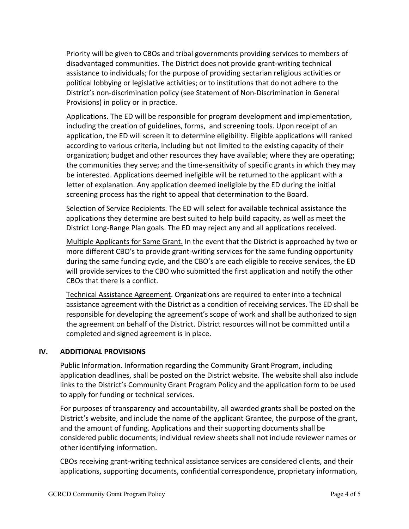Priority will be given to CBOs and tribal governments providing services to members of disadvantaged communities. The District does not provide grant-writing technical assistance to individuals; for the purpose of providing sectarian religious activities or political lobbying or legislative activities; or to institutions that do not adhere to the District's non-discrimination policy (see Statement of Non-Discrimination in General Provisions) in policy or in practice.

Applications. The ED will be responsible for program development and implementation, including the creation of guidelines, forms, and screening tools. Upon receipt of an application, the ED will screen it to determine eligibility. Eligible applications will ranked according to various criteria, including but not limited to the existing capacity of their organization; budget and other resources they have available; where they are operating; the communities they serve; and the time-sensitivity of specific grants in which they may be interested. Applications deemed ineligible will be returned to the applicant with a letter of explanation. Any application deemed ineligible by the ED during the initial screening process has the right to appeal that determination to the Board.

Selection of Service Recipients. The ED will select for available technical assistance the applications they determine are best suited to help build capacity, as well as meet the District Long-Range Plan goals. The ED may reject any and all applications received.

Multiple Applicants for Same Grant. In the event that the District is approached by two or more different CBO's to provide grant-writing services for the same funding opportunity during the same funding cycle, and the CBO's are each eligible to receive services, the ED will provide services to the CBO who submitted the first application and notify the other CBOs that there is a conflict.

Technical Assistance Agreement. Organizations are required to enter into a technical assistance agreement with the District as a condition of receiving services. The ED shall be responsible for developing the agreement's scope of work and shall be authorized to sign the agreement on behalf of the District. District resources will not be committed until a completed and signed agreement is in place.

### **IV. ADDITIONAL PROVISIONS**

Public Information. Information regarding the Community Grant Program, including application deadlines, shall be posted on the District website. The website shall also include links to the District's Community Grant Program Policy and the application form to be used to apply for funding or technical services.

For purposes of transparency and accountability, all awarded grants shall be posted on the District's website, and include the name of the applicant Grantee, the purpose of the grant, and the amount of funding. Applications and their supporting documents shall be considered public documents; individual review sheets shall not include reviewer names or other identifying information.

CBOs receiving grant-writing technical assistance services are considered clients, and their applications, supporting documents, confidential correspondence, proprietary information,